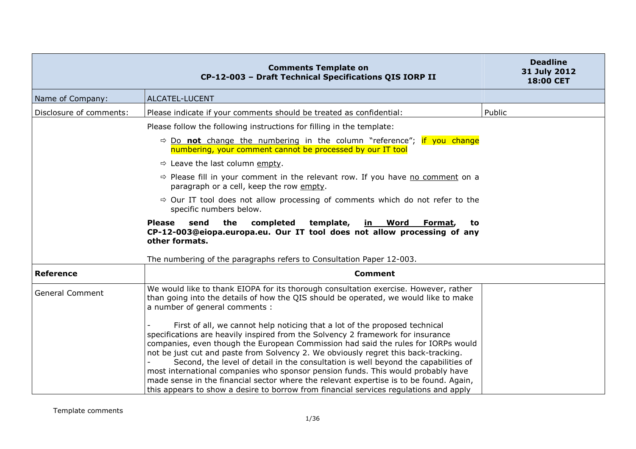|                         | <b>Comments Template on</b><br>CP-12-003 - Draft Technical Specifications QIS IORP II                                                                                                                                                                                                                                                                                                                                                                                                                                                                                                                                                                                                                 | <b>Deadline</b><br>31 July 2012<br>18:00 CET |
|-------------------------|-------------------------------------------------------------------------------------------------------------------------------------------------------------------------------------------------------------------------------------------------------------------------------------------------------------------------------------------------------------------------------------------------------------------------------------------------------------------------------------------------------------------------------------------------------------------------------------------------------------------------------------------------------------------------------------------------------|----------------------------------------------|
| Name of Company:        | ALCATEL-LUCENT                                                                                                                                                                                                                                                                                                                                                                                                                                                                                                                                                                                                                                                                                        |                                              |
| Disclosure of comments: | Please indicate if your comments should be treated as confidential:                                                                                                                                                                                                                                                                                                                                                                                                                                                                                                                                                                                                                                   | Public                                       |
|                         | Please follow the following instructions for filling in the template:                                                                                                                                                                                                                                                                                                                                                                                                                                                                                                                                                                                                                                 |                                              |
|                         | $\Rightarrow$ Do not change the numbering in the column "reference"; if you change<br>numbering, your comment cannot be processed by our IT tool                                                                                                                                                                                                                                                                                                                                                                                                                                                                                                                                                      |                                              |
|                         | $\Rightarrow$ Leave the last column empty.                                                                                                                                                                                                                                                                                                                                                                                                                                                                                                                                                                                                                                                            |                                              |
|                         | $\Rightarrow$ Please fill in your comment in the relevant row. If you have no comment on a<br>paragraph or a cell, keep the row empty.                                                                                                                                                                                                                                                                                                                                                                                                                                                                                                                                                                |                                              |
|                         | $\Rightarrow$ Our IT tool does not allow processing of comments which do not refer to the<br>specific numbers below.                                                                                                                                                                                                                                                                                                                                                                                                                                                                                                                                                                                  |                                              |
|                         | <b>Please</b><br>the<br>completed<br>template,<br>send<br><u>in Word</u><br>Format,<br>to<br>CP-12-003@eiopa.europa.eu. Our IT tool does not allow processing of any<br>other formats.                                                                                                                                                                                                                                                                                                                                                                                                                                                                                                                |                                              |
| <b>Reference</b>        | The numbering of the paragraphs refers to Consultation Paper 12-003.                                                                                                                                                                                                                                                                                                                                                                                                                                                                                                                                                                                                                                  |                                              |
|                         | <b>Comment</b>                                                                                                                                                                                                                                                                                                                                                                                                                                                                                                                                                                                                                                                                                        |                                              |
| <b>General Comment</b>  | We would like to thank EIOPA for its thorough consultation exercise. However, rather<br>than going into the details of how the QIS should be operated, we would like to make<br>a number of general comments :                                                                                                                                                                                                                                                                                                                                                                                                                                                                                        |                                              |
|                         | First of all, we cannot help noticing that a lot of the proposed technical<br>specifications are heavily inspired from the Solvency 2 framework for insurance<br>companies, even though the European Commission had said the rules for IORPs would<br>not be just cut and paste from Solvency 2. We obviously regret this back-tracking.<br>Second, the level of detail in the consultation is well beyond the capabilities of<br>most international companies who sponsor pension funds. This would probably have<br>made sense in the financial sector where the relevant expertise is to be found. Again,<br>this appears to show a desire to borrow from financial services regulations and apply |                                              |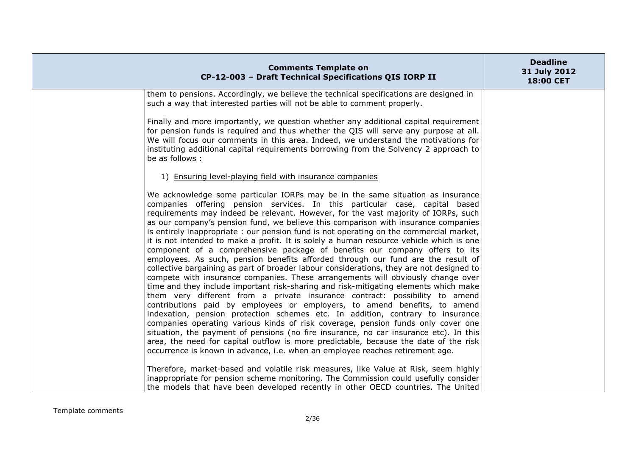| <b>Comments Template on</b><br>CP-12-003 - Draft Technical Specifications QIS IORP II                                                                                                                                                                                                                                                                                                                                                                                                                                                                                                                                                                                                                                                                                                                                                                                                                                                                                                                                                                                                                                                                                                                                                                                                                                                                                                                                                                                                                                                                                       | <b>Deadline</b><br>31 July 2012<br>18:00 CET |
|-----------------------------------------------------------------------------------------------------------------------------------------------------------------------------------------------------------------------------------------------------------------------------------------------------------------------------------------------------------------------------------------------------------------------------------------------------------------------------------------------------------------------------------------------------------------------------------------------------------------------------------------------------------------------------------------------------------------------------------------------------------------------------------------------------------------------------------------------------------------------------------------------------------------------------------------------------------------------------------------------------------------------------------------------------------------------------------------------------------------------------------------------------------------------------------------------------------------------------------------------------------------------------------------------------------------------------------------------------------------------------------------------------------------------------------------------------------------------------------------------------------------------------------------------------------------------------|----------------------------------------------|
| them to pensions. Accordingly, we believe the technical specifications are designed in<br>such a way that interested parties will not be able to comment properly.                                                                                                                                                                                                                                                                                                                                                                                                                                                                                                                                                                                                                                                                                                                                                                                                                                                                                                                                                                                                                                                                                                                                                                                                                                                                                                                                                                                                          |                                              |
| Finally and more importantly, we question whether any additional capital requirement<br>for pension funds is required and thus whether the QIS will serve any purpose at all.<br>We will focus our comments in this area. Indeed, we understand the motivations for<br>instituting additional capital requirements borrowing from the Solvency 2 approach to<br>be as follows :                                                                                                                                                                                                                                                                                                                                                                                                                                                                                                                                                                                                                                                                                                                                                                                                                                                                                                                                                                                                                                                                                                                                                                                             |                                              |
| 1) Ensuring level-playing field with insurance companies                                                                                                                                                                                                                                                                                                                                                                                                                                                                                                                                                                                                                                                                                                                                                                                                                                                                                                                                                                                                                                                                                                                                                                                                                                                                                                                                                                                                                                                                                                                    |                                              |
| We acknowledge some particular IORPs may be in the same situation as insurance<br>companies offering pension services. In this particular case, capital based<br>requirements may indeed be relevant. However, for the vast majority of IORPs, such<br>as our company's pension fund, we believe this comparison with insurance companies<br>is entirely inappropriate: our pension fund is not operating on the commercial market,<br>it is not intended to make a profit. It is solely a human resource vehicle which is one<br>component of a comprehensive package of benefits our company offers to its<br>employees. As such, pension benefits afforded through our fund are the result of<br>collective bargaining as part of broader labour considerations, they are not designed to<br>compete with insurance companies. These arrangements will obviously change over<br>time and they include important risk-sharing and risk-mitigating elements which make<br>them very different from a private insurance contract: possibility to amend<br>contributions paid by employees or employers, to amend benefits, to amend<br>indexation, pension protection schemes etc. In addition, contrary to insurance<br>companies operating various kinds of risk coverage, pension funds only cover one<br>situation, the payment of pensions (no fire insurance, no car insurance etc). In this<br>area, the need for capital outflow is more predictable, because the date of the risk<br>occurrence is known in advance, i.e. when an employee reaches retirement age. |                                              |
| Therefore, market-based and volatile risk measures, like Value at Risk, seem highly<br>inappropriate for pension scheme monitoring. The Commission could usefully consider<br>the models that have been developed recently in other OECD countries. The United                                                                                                                                                                                                                                                                                                                                                                                                                                                                                                                                                                                                                                                                                                                                                                                                                                                                                                                                                                                                                                                                                                                                                                                                                                                                                                              |                                              |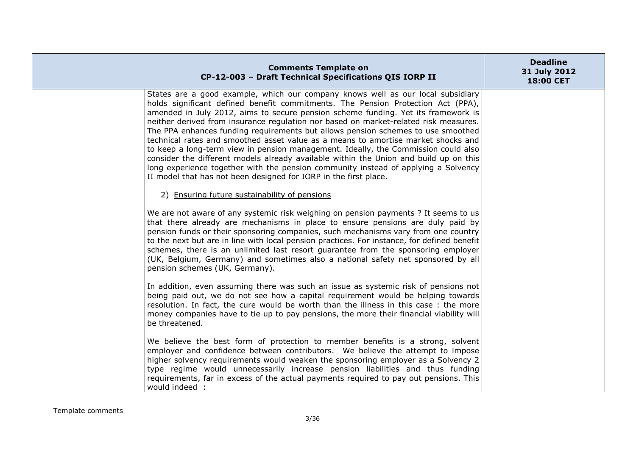| <b>Comments Template on</b><br>CP-12-003 - Draft Technical Specifications QIS IORP II                                                                                                                                                                                                                                                                                                                                                                                                                                                                                                                                                                                                                                                                                                                                                                              | <b>Deadline</b><br>31 July 2012<br>18:00 CET |
|--------------------------------------------------------------------------------------------------------------------------------------------------------------------------------------------------------------------------------------------------------------------------------------------------------------------------------------------------------------------------------------------------------------------------------------------------------------------------------------------------------------------------------------------------------------------------------------------------------------------------------------------------------------------------------------------------------------------------------------------------------------------------------------------------------------------------------------------------------------------|----------------------------------------------|
| States are a good example, which our company knows well as our local subsidiary<br>holds significant defined benefit commitments. The Pension Protection Act (PPA),<br>amended in July 2012, aims to secure pension scheme funding. Yet its framework is<br>neither derived from insurance regulation nor based on market-related risk measures.<br>The PPA enhances funding requirements but allows pension schemes to use smoothed<br>technical rates and smoothed asset value as a means to amortise market shocks and<br>to keep a long-term view in pension management. Ideally, the Commission could also<br>consider the different models already available within the Union and build up on this<br>long experience together with the pension community instead of applying a Solvency<br>II model that has not been designed for IORP in the first place. |                                              |
| 2) Ensuring future sustainability of pensions                                                                                                                                                                                                                                                                                                                                                                                                                                                                                                                                                                                                                                                                                                                                                                                                                      |                                              |
| We are not aware of any systemic risk weighing on pension payments ? It seems to us<br>that there already are mechanisms in place to ensure pensions are duly paid by<br>pension funds or their sponsoring companies, such mechanisms vary from one country<br>to the next but are in line with local pension practices. For instance, for defined benefit<br>schemes, there is an unlimited last resort guarantee from the sponsoring employer<br>(UK, Belgium, Germany) and sometimes also a national safety net sponsored by all<br>pension schemes (UK, Germany).                                                                                                                                                                                                                                                                                              |                                              |
| In addition, even assuming there was such an issue as systemic risk of pensions not<br>being paid out, we do not see how a capital requirement would be helping towards<br>resolution. In fact, the cure would be worth than the illness in this case: the more<br>money companies have to tie up to pay pensions, the more their financial viability will<br>be threatened.                                                                                                                                                                                                                                                                                                                                                                                                                                                                                       |                                              |
| We believe the best form of protection to member benefits is a strong, solvent<br>employer and confidence between contributors. We believe the attempt to impose<br>higher solvency requirements would weaken the sponsoring employer as a Solvency 2<br>type regime would unnecessarily increase pension liabilities and thus funding<br>requirements, far in excess of the actual payments required to pay out pensions. This<br>would indeed :                                                                                                                                                                                                                                                                                                                                                                                                                  |                                              |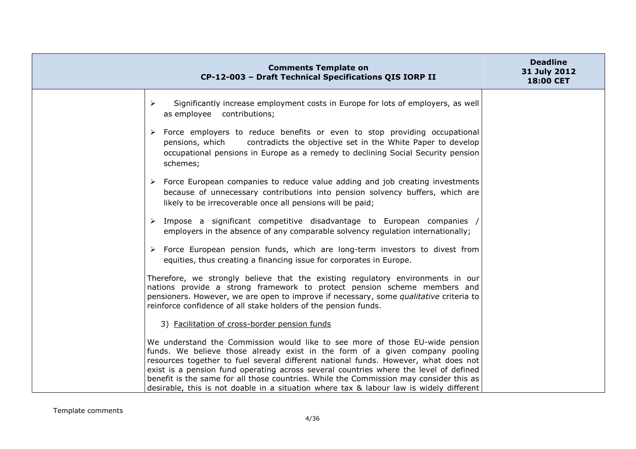| <b>Comments Template on</b><br>CP-12-003 - Draft Technical Specifications QIS IORP II                                                                                                                                                                                                                                                                                                                                                                                                                                             | <b>Deadline</b><br>31 July 2012<br>18:00 CET |
|-----------------------------------------------------------------------------------------------------------------------------------------------------------------------------------------------------------------------------------------------------------------------------------------------------------------------------------------------------------------------------------------------------------------------------------------------------------------------------------------------------------------------------------|----------------------------------------------|
| Significantly increase employment costs in Europe for lots of employers, as well<br>$\blacktriangleright$<br>as employee contributions;                                                                                                                                                                                                                                                                                                                                                                                           |                                              |
| $\triangleright$ Force employers to reduce benefits or even to stop providing occupational<br>contradicts the objective set in the White Paper to develop<br>pensions, which<br>occupational pensions in Europe as a remedy to declining Social Security pension<br>schemes;                                                                                                                                                                                                                                                      |                                              |
| $\triangleright$ Force European companies to reduce value adding and job creating investments<br>because of unnecessary contributions into pension solvency buffers, which are<br>likely to be irrecoverable once all pensions will be paid;                                                                                                                                                                                                                                                                                      |                                              |
| $\triangleright$ Impose a significant competitive disadvantage to European companies /<br>employers in the absence of any comparable solvency regulation internationally;                                                                                                                                                                                                                                                                                                                                                         |                                              |
| > Force European pension funds, which are long-term investors to divest from<br>equities, thus creating a financing issue for corporates in Europe.                                                                                                                                                                                                                                                                                                                                                                               |                                              |
| Therefore, we strongly believe that the existing regulatory environments in our<br>nations provide a strong framework to protect pension scheme members and<br>pensioners. However, we are open to improve if necessary, some qualitative criteria to<br>reinforce confidence of all stake holders of the pension funds.                                                                                                                                                                                                          |                                              |
| 3) Facilitation of cross-border pension funds                                                                                                                                                                                                                                                                                                                                                                                                                                                                                     |                                              |
| We understand the Commission would like to see more of those EU-wide pension<br>funds. We believe those already exist in the form of a given company pooling<br>resources together to fuel several different national funds. However, what does not<br>exist is a pension fund operating across several countries where the level of defined<br>benefit is the same for all those countries. While the Commission may consider this as<br>desirable, this is not doable in a situation where tax & labour law is widely different |                                              |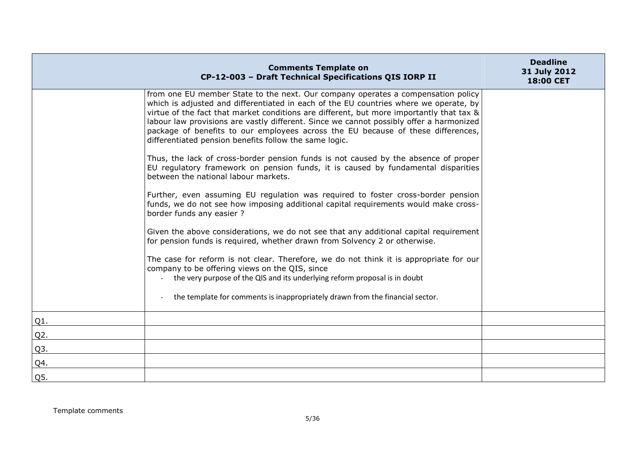|        | <b>Comments Template on</b><br>CP-12-003 - Draft Technical Specifications QIS IORP II                                                                                                                                                                                                                                                                                                                                                                                                                          | <b>Deadline</b><br>31 July 2012<br>18:00 CET |
|--------|----------------------------------------------------------------------------------------------------------------------------------------------------------------------------------------------------------------------------------------------------------------------------------------------------------------------------------------------------------------------------------------------------------------------------------------------------------------------------------------------------------------|----------------------------------------------|
|        | from one EU member State to the next. Our company operates a compensation policy<br>which is adjusted and differentiated in each of the EU countries where we operate, by<br>virtue of the fact that market conditions are different, but more importantly that tax &<br>labour law provisions are vastly different. Since we cannot possibly offer a harmonized<br>package of benefits to our employees across the EU because of these differences,<br>differentiated pension benefits follow the same logic. |                                              |
|        | Thus, the lack of cross-border pension funds is not caused by the absence of proper<br>EU regulatory framework on pension funds, it is caused by fundamental disparities<br>between the national labour markets.                                                                                                                                                                                                                                                                                               |                                              |
|        | Further, even assuming EU regulation was required to foster cross-border pension<br>funds, we do not see how imposing additional capital requirements would make cross-<br>border funds any easier ?                                                                                                                                                                                                                                                                                                           |                                              |
|        | Given the above considerations, we do not see that any additional capital requirement<br>for pension funds is required, whether drawn from Solvency 2 or otherwise.                                                                                                                                                                                                                                                                                                                                            |                                              |
|        | The case for reform is not clear. Therefore, we do not think it is appropriate for our<br>company to be offering views on the QIS, since<br>the very purpose of the QIS and its underlying reform proposal is in doubt                                                                                                                                                                                                                                                                                         |                                              |
|        | the template for comments is inappropriately drawn from the financial sector.                                                                                                                                                                                                                                                                                                                                                                                                                                  |                                              |
| Q1.    |                                                                                                                                                                                                                                                                                                                                                                                                                                                                                                                |                                              |
| $Q2$ . |                                                                                                                                                                                                                                                                                                                                                                                                                                                                                                                |                                              |
| Q3.    |                                                                                                                                                                                                                                                                                                                                                                                                                                                                                                                |                                              |
| Q4.    |                                                                                                                                                                                                                                                                                                                                                                                                                                                                                                                |                                              |
| Q5.    |                                                                                                                                                                                                                                                                                                                                                                                                                                                                                                                |                                              |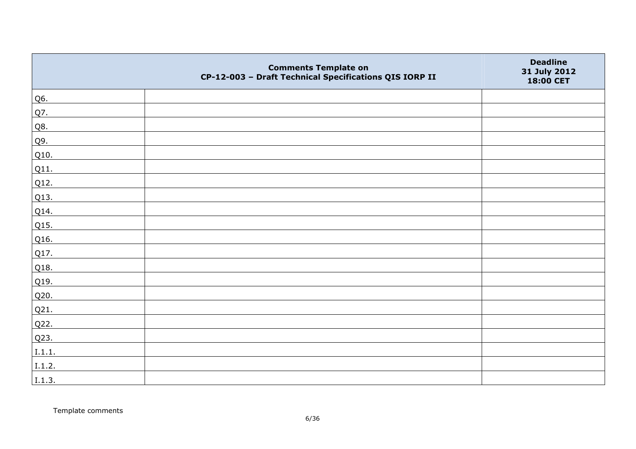|        | <b>Comments Template on</b><br>CP-12-003 - Draft Technical Specifications QIS IORP II | <b>Deadline</b><br>31 July 2012<br>18:00 CET |
|--------|---------------------------------------------------------------------------------------|----------------------------------------------|
| Q6.    |                                                                                       |                                              |
| Q7.    |                                                                                       |                                              |
| Q8.    |                                                                                       |                                              |
| Q9.    |                                                                                       |                                              |
| Q10.   |                                                                                       |                                              |
| Q11.   |                                                                                       |                                              |
| Q12.   |                                                                                       |                                              |
| Q13.   |                                                                                       |                                              |
| Q14.   |                                                                                       |                                              |
| Q15.   |                                                                                       |                                              |
| Q16.   |                                                                                       |                                              |
| Q17.   |                                                                                       |                                              |
| Q18.   |                                                                                       |                                              |
| Q19.   |                                                                                       |                                              |
| Q20.   |                                                                                       |                                              |
| Q21.   |                                                                                       |                                              |
| Q22.   |                                                                                       |                                              |
| Q23.   |                                                                                       |                                              |
| I.1.1. |                                                                                       |                                              |
| I.1.2. |                                                                                       |                                              |
| I.1.3. |                                                                                       |                                              |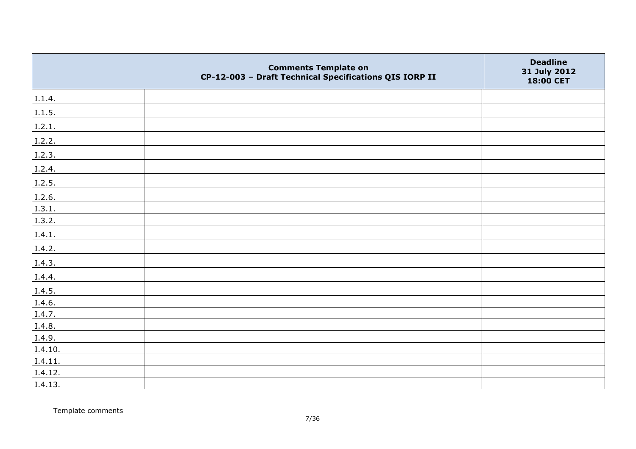|         | <b>Comments Template on</b><br>CP-12-003 - Draft Technical Specifications QIS IORP II | <b>Deadline</b><br>31 July 2012<br>18:00 CET |
|---------|---------------------------------------------------------------------------------------|----------------------------------------------|
| I.1.4.  |                                                                                       |                                              |
| 1.1.5.  |                                                                                       |                                              |
| I.2.1.  |                                                                                       |                                              |
| I.2.2.  |                                                                                       |                                              |
| I.2.3.  |                                                                                       |                                              |
| I.2.4.  |                                                                                       |                                              |
| I.2.5.  |                                                                                       |                                              |
| I.2.6.  |                                                                                       |                                              |
| I.3.1.  |                                                                                       |                                              |
| I.3.2.  |                                                                                       |                                              |
| I.4.1.  |                                                                                       |                                              |
| I.4.2.  |                                                                                       |                                              |
| I.4.3.  |                                                                                       |                                              |
| I.4.4.  |                                                                                       |                                              |
| I.4.5.  |                                                                                       |                                              |
| I.4.6.  |                                                                                       |                                              |
| I.4.7.  |                                                                                       |                                              |
| I.4.8.  |                                                                                       |                                              |
| I.4.9.  |                                                                                       |                                              |
| I.4.10. |                                                                                       |                                              |
| I.4.11. |                                                                                       |                                              |
| I.4.12. |                                                                                       |                                              |
| I.4.13. |                                                                                       |                                              |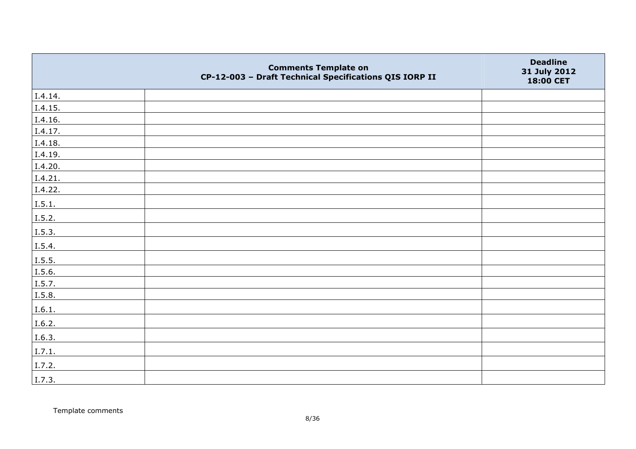|         | <b>Comments Template on</b><br>CP-12-003 - Draft Technical Specifications QIS IORP II | <b>Deadline</b><br>31 July 2012<br>18:00 CET |
|---------|---------------------------------------------------------------------------------------|----------------------------------------------|
| I.4.14. |                                                                                       |                                              |
| I.4.15. |                                                                                       |                                              |
| I.4.16. |                                                                                       |                                              |
| I.4.17. |                                                                                       |                                              |
| I.4.18. |                                                                                       |                                              |
| I.4.19. |                                                                                       |                                              |
| I.4.20. |                                                                                       |                                              |
| I.4.21. |                                                                                       |                                              |
| I.4.22. |                                                                                       |                                              |
| I.5.1.  |                                                                                       |                                              |
| I.5.2.  |                                                                                       |                                              |
| I.5.3.  |                                                                                       |                                              |
| I.5.4.  |                                                                                       |                                              |
| 1.5.5.  |                                                                                       |                                              |
| I.5.6.  |                                                                                       |                                              |
| I.5.7.  |                                                                                       |                                              |
| I.5.8.  |                                                                                       |                                              |
| I.6.1.  |                                                                                       |                                              |
| I.6.2.  |                                                                                       |                                              |
| I.6.3.  |                                                                                       |                                              |
| I.7.1.  |                                                                                       |                                              |
| I.7.2.  |                                                                                       |                                              |
| I.7.3.  |                                                                                       |                                              |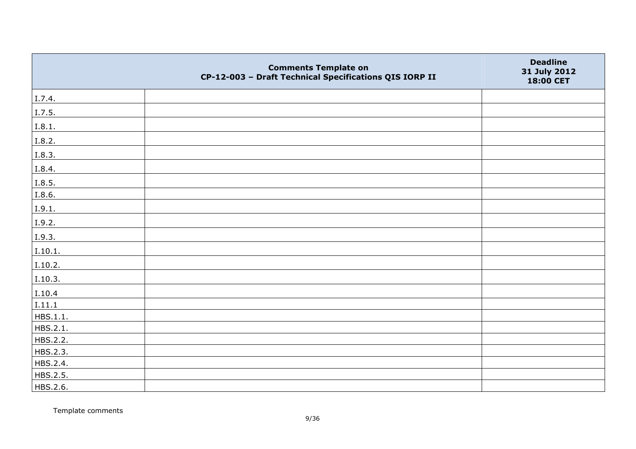|          | <b>Comments Template on</b><br>CP-12-003 - Draft Technical Specifications QIS IORP II | <b>Deadline</b><br>31 July 2012<br>18:00 CET |
|----------|---------------------------------------------------------------------------------------|----------------------------------------------|
| I.7.4.   |                                                                                       |                                              |
| I.7.5.   |                                                                                       |                                              |
| I.8.1.   |                                                                                       |                                              |
| I.8.2.   |                                                                                       |                                              |
| I.8.3.   |                                                                                       |                                              |
| I.8.4.   |                                                                                       |                                              |
| I.8.5.   |                                                                                       |                                              |
| I.8.6.   |                                                                                       |                                              |
| I.9.1.   |                                                                                       |                                              |
| I.9.2.   |                                                                                       |                                              |
| I.9.3.   |                                                                                       |                                              |
| I.10.1.  |                                                                                       |                                              |
| I.10.2.  |                                                                                       |                                              |
| I.10.3.  |                                                                                       |                                              |
| I.10.4   |                                                                                       |                                              |
| I.11.1   |                                                                                       |                                              |
| HBS.1.1. |                                                                                       |                                              |
| HBS.2.1. |                                                                                       |                                              |
| HBS.2.2. |                                                                                       |                                              |
| HBS.2.3. |                                                                                       |                                              |
| HBS.2.4. |                                                                                       |                                              |
| HBS.2.5. |                                                                                       |                                              |
| HBS.2.6. |                                                                                       |                                              |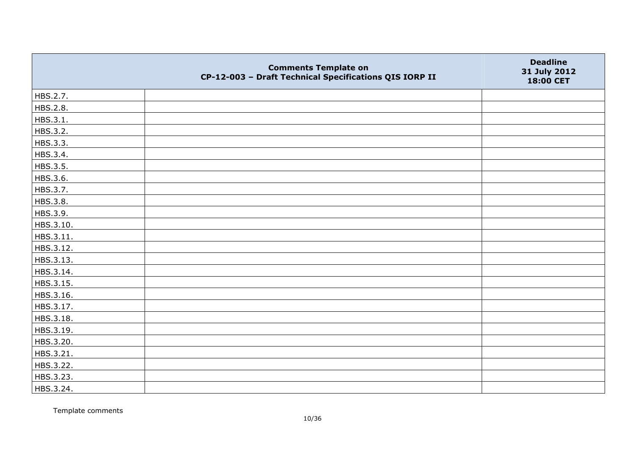|           | <b>Comments Template on</b><br>CP-12-003 - Draft Technical Specifications QIS IORP II | <b>Deadline</b><br>31 July 2012<br>18:00 CET |
|-----------|---------------------------------------------------------------------------------------|----------------------------------------------|
| HBS.2.7.  |                                                                                       |                                              |
| HBS.2.8.  |                                                                                       |                                              |
| HBS.3.1.  |                                                                                       |                                              |
| HBS.3.2.  |                                                                                       |                                              |
| HBS.3.3.  |                                                                                       |                                              |
| HBS.3.4.  |                                                                                       |                                              |
| HBS.3.5.  |                                                                                       |                                              |
| HBS.3.6.  |                                                                                       |                                              |
| HBS.3.7.  |                                                                                       |                                              |
| HBS.3.8.  |                                                                                       |                                              |
| HBS.3.9.  |                                                                                       |                                              |
| HBS.3.10. |                                                                                       |                                              |
| HBS.3.11. |                                                                                       |                                              |
| HBS.3.12. |                                                                                       |                                              |
| HBS.3.13. |                                                                                       |                                              |
| HBS.3.14. |                                                                                       |                                              |
| HBS.3.15. |                                                                                       |                                              |
| HBS.3.16. |                                                                                       |                                              |
| HBS.3.17. |                                                                                       |                                              |
| HBS.3.18. |                                                                                       |                                              |
| HBS.3.19. |                                                                                       |                                              |
| HBS.3.20. |                                                                                       |                                              |
| HBS.3.21. |                                                                                       |                                              |
| HBS.3.22. |                                                                                       |                                              |
| HBS.3.23. |                                                                                       |                                              |
| HBS.3.24. |                                                                                       |                                              |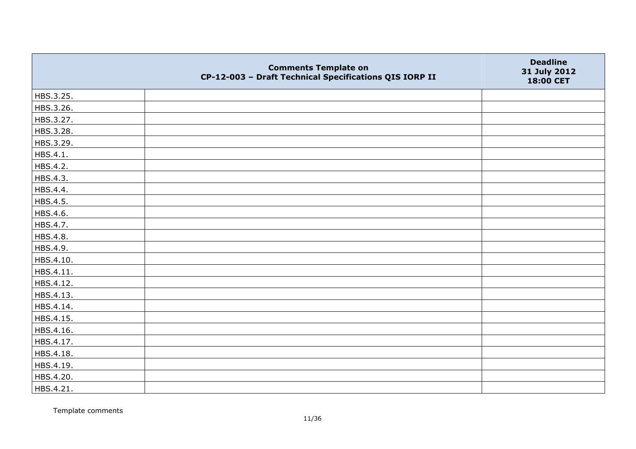|           | <b>Comments Template on</b><br>CP-12-003 - Draft Technical Specifications QIS IORP II | <b>Deadline</b><br>31 July 2012<br>18:00 CET |
|-----------|---------------------------------------------------------------------------------------|----------------------------------------------|
| HBS.3.25. |                                                                                       |                                              |
| HBS.3.26. |                                                                                       |                                              |
| HBS.3.27. |                                                                                       |                                              |
| HBS.3.28. |                                                                                       |                                              |
| HBS.3.29. |                                                                                       |                                              |
| HBS.4.1.  |                                                                                       |                                              |
| HBS.4.2.  |                                                                                       |                                              |
| HBS.4.3.  |                                                                                       |                                              |
| HBS.4.4.  |                                                                                       |                                              |
| HBS.4.5.  |                                                                                       |                                              |
| HBS.4.6.  |                                                                                       |                                              |
| HBS.4.7.  |                                                                                       |                                              |
| HBS.4.8.  |                                                                                       |                                              |
| HBS.4.9.  |                                                                                       |                                              |
| HBS.4.10. |                                                                                       |                                              |
| HBS.4.11. |                                                                                       |                                              |
| HBS.4.12. |                                                                                       |                                              |
| HBS.4.13. |                                                                                       |                                              |
| HBS.4.14. |                                                                                       |                                              |
| HBS.4.15. |                                                                                       |                                              |
| HBS.4.16. |                                                                                       |                                              |
| HBS.4.17. |                                                                                       |                                              |
| HBS.4.18. |                                                                                       |                                              |
| HBS.4.19. |                                                                                       |                                              |
| HBS.4.20. |                                                                                       |                                              |
| HBS.4.21. |                                                                                       |                                              |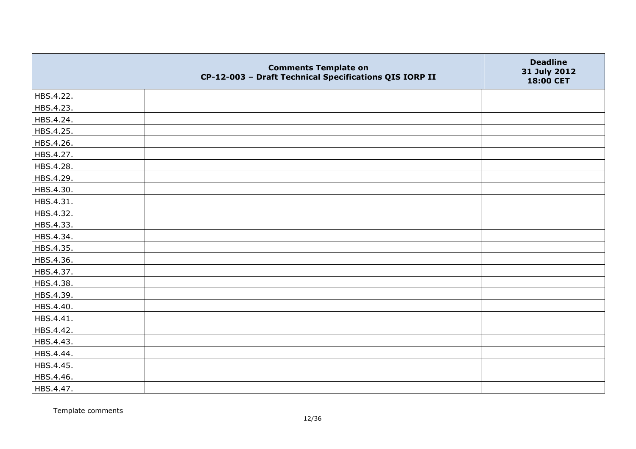|           | <b>Comments Template on</b><br>CP-12-003 - Draft Technical Specifications QIS IORP II | <b>Deadline</b><br>31 July 2012<br>18:00 CET |
|-----------|---------------------------------------------------------------------------------------|----------------------------------------------|
| HBS.4.22. |                                                                                       |                                              |
| HBS.4.23. |                                                                                       |                                              |
| HBS.4.24. |                                                                                       |                                              |
| HBS.4.25. |                                                                                       |                                              |
| HBS.4.26. |                                                                                       |                                              |
| HBS.4.27. |                                                                                       |                                              |
| HBS.4.28. |                                                                                       |                                              |
| HBS.4.29. |                                                                                       |                                              |
| HBS.4.30. |                                                                                       |                                              |
| HBS.4.31. |                                                                                       |                                              |
| HBS.4.32. |                                                                                       |                                              |
| HBS.4.33. |                                                                                       |                                              |
| HBS.4.34. |                                                                                       |                                              |
| HBS.4.35. |                                                                                       |                                              |
| HBS.4.36. |                                                                                       |                                              |
| HBS.4.37. |                                                                                       |                                              |
| HBS.4.38. |                                                                                       |                                              |
| HBS.4.39. |                                                                                       |                                              |
| HBS.4.40. |                                                                                       |                                              |
| HBS.4.41. |                                                                                       |                                              |
| HBS.4.42. |                                                                                       |                                              |
| HBS.4.43. |                                                                                       |                                              |
| HBS.4.44. |                                                                                       |                                              |
| HBS.4.45. |                                                                                       |                                              |
| HBS.4.46. |                                                                                       |                                              |
| HBS.4.47. |                                                                                       |                                              |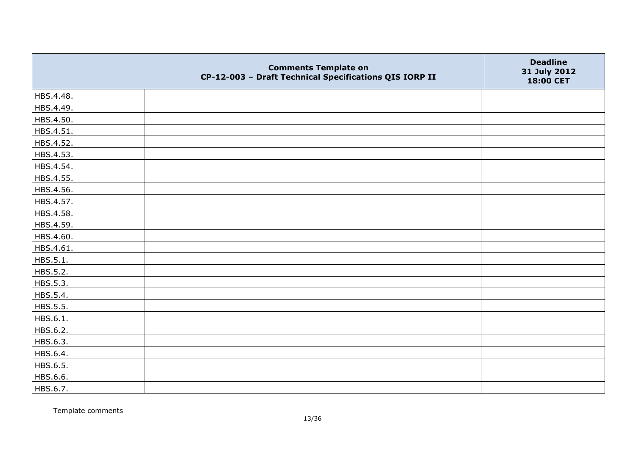|           | <b>Comments Template on</b><br>CP-12-003 - Draft Technical Specifications QIS IORP II | <b>Deadline</b><br>31 July 2012<br>18:00 CET |
|-----------|---------------------------------------------------------------------------------------|----------------------------------------------|
| HBS.4.48. |                                                                                       |                                              |
| HBS.4.49. |                                                                                       |                                              |
| HBS.4.50. |                                                                                       |                                              |
| HBS.4.51. |                                                                                       |                                              |
| HBS.4.52. |                                                                                       |                                              |
| HBS.4.53. |                                                                                       |                                              |
| HBS.4.54. |                                                                                       |                                              |
| HBS.4.55. |                                                                                       |                                              |
| HBS.4.56. |                                                                                       |                                              |
| HBS.4.57. |                                                                                       |                                              |
| HBS.4.58. |                                                                                       |                                              |
| HBS.4.59. |                                                                                       |                                              |
| HBS.4.60. |                                                                                       |                                              |
| HBS.4.61. |                                                                                       |                                              |
| HBS.5.1.  |                                                                                       |                                              |
| HBS.5.2.  |                                                                                       |                                              |
| HBS.5.3.  |                                                                                       |                                              |
| HBS.5.4.  |                                                                                       |                                              |
| HBS.5.5.  |                                                                                       |                                              |
| HBS.6.1.  |                                                                                       |                                              |
| HBS.6.2.  |                                                                                       |                                              |
| HBS.6.3.  |                                                                                       |                                              |
| HBS.6.4.  |                                                                                       |                                              |
| HBS.6.5.  |                                                                                       |                                              |
| HBS.6.6.  |                                                                                       |                                              |
| HBS.6.7.  |                                                                                       |                                              |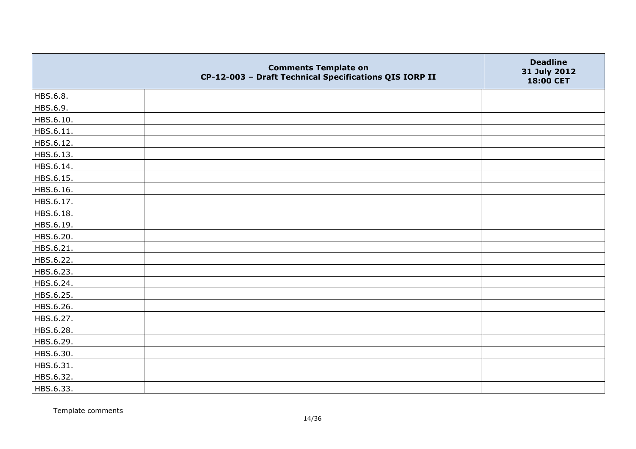|           | <b>Comments Template on</b><br>CP-12-003 - Draft Technical Specifications QIS IORP II | <b>Deadline</b><br>31 July 2012<br>18:00 CET |
|-----------|---------------------------------------------------------------------------------------|----------------------------------------------|
| HBS.6.8.  |                                                                                       |                                              |
| HBS.6.9.  |                                                                                       |                                              |
| HBS.6.10. |                                                                                       |                                              |
| HBS.6.11. |                                                                                       |                                              |
| HBS.6.12. |                                                                                       |                                              |
| HBS.6.13. |                                                                                       |                                              |
| HBS.6.14. |                                                                                       |                                              |
| HBS.6.15. |                                                                                       |                                              |
| HBS.6.16. |                                                                                       |                                              |
| HBS.6.17. |                                                                                       |                                              |
| HBS.6.18. |                                                                                       |                                              |
| HBS.6.19. |                                                                                       |                                              |
| HBS.6.20. |                                                                                       |                                              |
| HBS.6.21. |                                                                                       |                                              |
| HBS.6.22. |                                                                                       |                                              |
| HBS.6.23. |                                                                                       |                                              |
| HBS.6.24. |                                                                                       |                                              |
| HBS.6.25. |                                                                                       |                                              |
| HBS.6.26. |                                                                                       |                                              |
| HBS.6.27. |                                                                                       |                                              |
| HBS.6.28. |                                                                                       |                                              |
| HBS.6.29. |                                                                                       |                                              |
| HBS.6.30. |                                                                                       |                                              |
| HBS.6.31. |                                                                                       |                                              |
| HBS.6.32. |                                                                                       |                                              |
| HBS.6.33. |                                                                                       |                                              |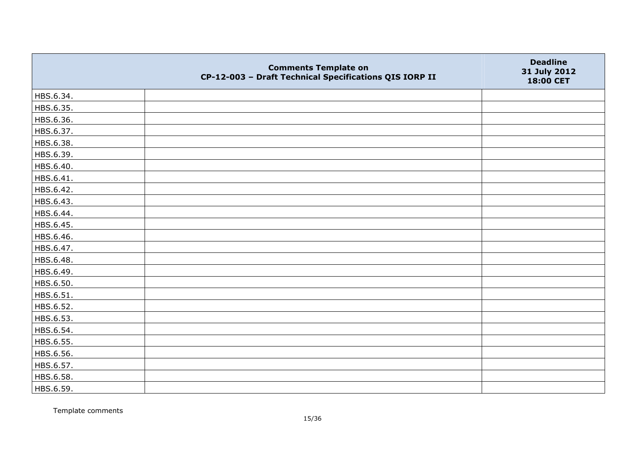|           | <b>Comments Template on</b><br>CP-12-003 - Draft Technical Specifications QIS IORP II | <b>Deadline</b><br>31 July 2012<br>18:00 CET |
|-----------|---------------------------------------------------------------------------------------|----------------------------------------------|
| HBS.6.34. |                                                                                       |                                              |
| HBS.6.35. |                                                                                       |                                              |
| HBS.6.36. |                                                                                       |                                              |
| HBS.6.37. |                                                                                       |                                              |
| HBS.6.38. |                                                                                       |                                              |
| HBS.6.39. |                                                                                       |                                              |
| HBS.6.40. |                                                                                       |                                              |
| HBS.6.41. |                                                                                       |                                              |
| HBS.6.42. |                                                                                       |                                              |
| HBS.6.43. |                                                                                       |                                              |
| HBS.6.44. |                                                                                       |                                              |
| HBS.6.45. |                                                                                       |                                              |
| HBS.6.46. |                                                                                       |                                              |
| HBS.6.47. |                                                                                       |                                              |
| HBS.6.48. |                                                                                       |                                              |
| HBS.6.49. |                                                                                       |                                              |
| HBS.6.50. |                                                                                       |                                              |
| HBS.6.51. |                                                                                       |                                              |
| HBS.6.52. |                                                                                       |                                              |
| HBS.6.53. |                                                                                       |                                              |
| HBS.6.54. |                                                                                       |                                              |
| HBS.6.55. |                                                                                       |                                              |
| HBS.6.56. |                                                                                       |                                              |
| HBS.6.57. |                                                                                       |                                              |
| HBS.6.58. |                                                                                       |                                              |
| HBS.6.59. |                                                                                       |                                              |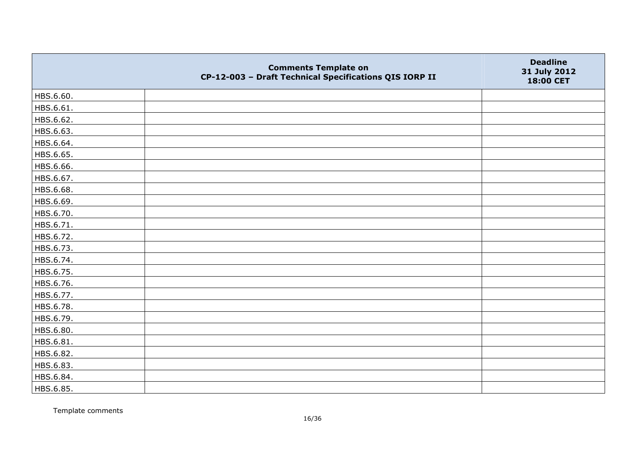|           | <b>Comments Template on</b><br>CP-12-003 - Draft Technical Specifications QIS IORP II | <b>Deadline</b><br>31 July 2012<br>18:00 CET |
|-----------|---------------------------------------------------------------------------------------|----------------------------------------------|
| HBS.6.60. |                                                                                       |                                              |
| HBS.6.61. |                                                                                       |                                              |
| HBS.6.62. |                                                                                       |                                              |
| HBS.6.63. |                                                                                       |                                              |
| HBS.6.64. |                                                                                       |                                              |
| HBS.6.65. |                                                                                       |                                              |
| HBS.6.66. |                                                                                       |                                              |
| HBS.6.67. |                                                                                       |                                              |
| HBS.6.68. |                                                                                       |                                              |
| HBS.6.69. |                                                                                       |                                              |
| HBS.6.70. |                                                                                       |                                              |
| HBS.6.71. |                                                                                       |                                              |
| HBS.6.72. |                                                                                       |                                              |
| HBS.6.73. |                                                                                       |                                              |
| HBS.6.74. |                                                                                       |                                              |
| HBS.6.75. |                                                                                       |                                              |
| HBS.6.76. |                                                                                       |                                              |
| HBS.6.77. |                                                                                       |                                              |
| HBS.6.78. |                                                                                       |                                              |
| HBS.6.79. |                                                                                       |                                              |
| HBS.6.80. |                                                                                       |                                              |
| HBS.6.81. |                                                                                       |                                              |
| HBS.6.82. |                                                                                       |                                              |
| HBS.6.83. |                                                                                       |                                              |
| HBS.6.84. |                                                                                       |                                              |
| HBS.6.85. |                                                                                       |                                              |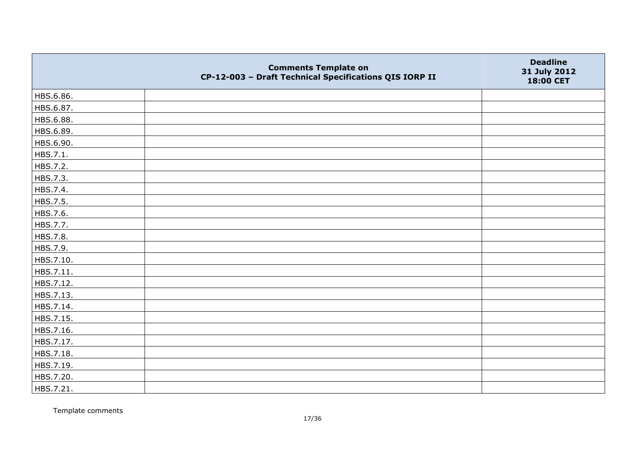|           | <b>Comments Template on</b><br>CP-12-003 - Draft Technical Specifications QIS IORP II | <b>Deadline</b><br>31 July 2012<br>18:00 CET |
|-----------|---------------------------------------------------------------------------------------|----------------------------------------------|
| HBS.6.86. |                                                                                       |                                              |
| HBS.6.87. |                                                                                       |                                              |
| HBS.6.88. |                                                                                       |                                              |
| HBS.6.89. |                                                                                       |                                              |
| HBS.6.90. |                                                                                       |                                              |
| HBS.7.1.  |                                                                                       |                                              |
| HBS.7.2.  |                                                                                       |                                              |
| HBS.7.3.  |                                                                                       |                                              |
| HBS.7.4.  |                                                                                       |                                              |
| HBS.7.5.  |                                                                                       |                                              |
| HBS.7.6.  |                                                                                       |                                              |
| HBS.7.7.  |                                                                                       |                                              |
| HBS.7.8.  |                                                                                       |                                              |
| HBS.7.9.  |                                                                                       |                                              |
| HBS.7.10. |                                                                                       |                                              |
| HBS.7.11. |                                                                                       |                                              |
| HBS.7.12. |                                                                                       |                                              |
| HBS.7.13. |                                                                                       |                                              |
| HBS.7.14. |                                                                                       |                                              |
| HBS.7.15. |                                                                                       |                                              |
| HBS.7.16. |                                                                                       |                                              |
| HBS.7.17. |                                                                                       |                                              |
| HBS.7.18. |                                                                                       |                                              |
| HBS.7.19. |                                                                                       |                                              |
| HBS.7.20. |                                                                                       |                                              |
| HBS.7.21. |                                                                                       |                                              |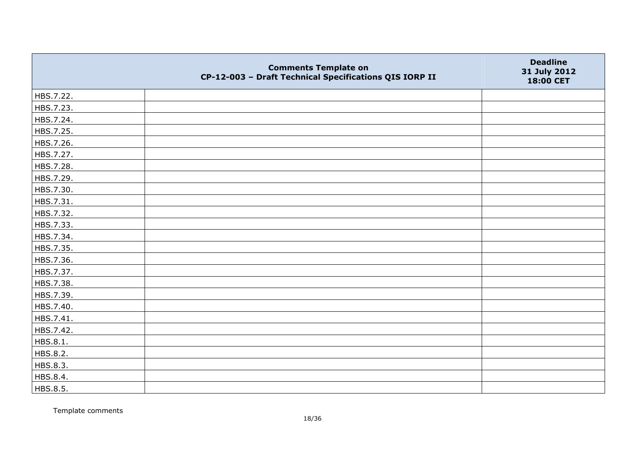|           | <b>Comments Template on</b><br>CP-12-003 - Draft Technical Specifications QIS IORP II | <b>Deadline</b><br>31 July 2012<br>18:00 CET |
|-----------|---------------------------------------------------------------------------------------|----------------------------------------------|
| HBS.7.22. |                                                                                       |                                              |
| HBS.7.23. |                                                                                       |                                              |
| HBS.7.24. |                                                                                       |                                              |
| HBS.7.25. |                                                                                       |                                              |
| HBS.7.26. |                                                                                       |                                              |
| HBS.7.27. |                                                                                       |                                              |
| HBS.7.28. |                                                                                       |                                              |
| HBS.7.29. |                                                                                       |                                              |
| HBS.7.30. |                                                                                       |                                              |
| HBS.7.31. |                                                                                       |                                              |
| HBS.7.32. |                                                                                       |                                              |
| HBS.7.33. |                                                                                       |                                              |
| HBS.7.34. |                                                                                       |                                              |
| HBS.7.35. |                                                                                       |                                              |
| HBS.7.36. |                                                                                       |                                              |
| HBS.7.37. |                                                                                       |                                              |
| HBS.7.38. |                                                                                       |                                              |
| HBS.7.39. |                                                                                       |                                              |
| HBS.7.40. |                                                                                       |                                              |
| HBS.7.41. |                                                                                       |                                              |
| HBS.7.42. |                                                                                       |                                              |
| HBS.8.1.  |                                                                                       |                                              |
| HBS.8.2.  |                                                                                       |                                              |
| HBS.8.3.  |                                                                                       |                                              |
| HBS.8.4.  |                                                                                       |                                              |
| HBS.8.5.  |                                                                                       |                                              |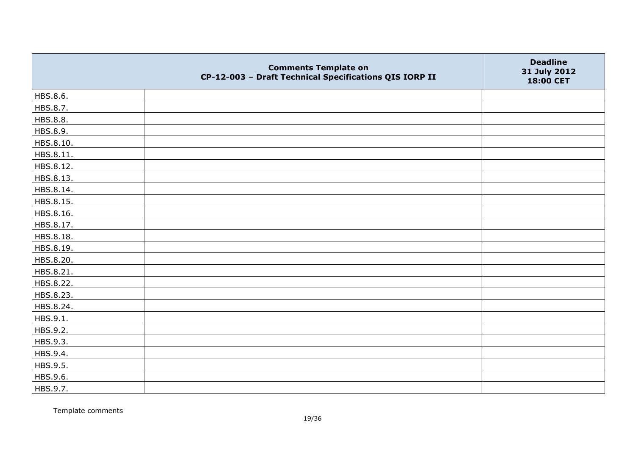|           | <b>Comments Template on</b><br>CP-12-003 - Draft Technical Specifications QIS IORP II | <b>Deadline</b><br>31 July 2012<br>18:00 CET |
|-----------|---------------------------------------------------------------------------------------|----------------------------------------------|
| HBS.8.6.  |                                                                                       |                                              |
| HBS.8.7.  |                                                                                       |                                              |
| HBS.8.8.  |                                                                                       |                                              |
| HBS.8.9.  |                                                                                       |                                              |
| HBS.8.10. |                                                                                       |                                              |
| HBS.8.11. |                                                                                       |                                              |
| HBS.8.12. |                                                                                       |                                              |
| HBS.8.13. |                                                                                       |                                              |
| HBS.8.14. |                                                                                       |                                              |
| HBS.8.15. |                                                                                       |                                              |
| HBS.8.16. |                                                                                       |                                              |
| HBS.8.17. |                                                                                       |                                              |
| HBS.8.18. |                                                                                       |                                              |
| HBS.8.19. |                                                                                       |                                              |
| HBS.8.20. |                                                                                       |                                              |
| HBS.8.21. |                                                                                       |                                              |
| HBS.8.22. |                                                                                       |                                              |
| HBS.8.23. |                                                                                       |                                              |
| HBS.8.24. |                                                                                       |                                              |
| HBS.9.1.  |                                                                                       |                                              |
| HBS.9.2.  |                                                                                       |                                              |
| HBS.9.3.  |                                                                                       |                                              |
| HBS.9.4.  |                                                                                       |                                              |
| HBS.9.5.  |                                                                                       |                                              |
| HBS.9.6.  |                                                                                       |                                              |
| HBS.9.7.  |                                                                                       |                                              |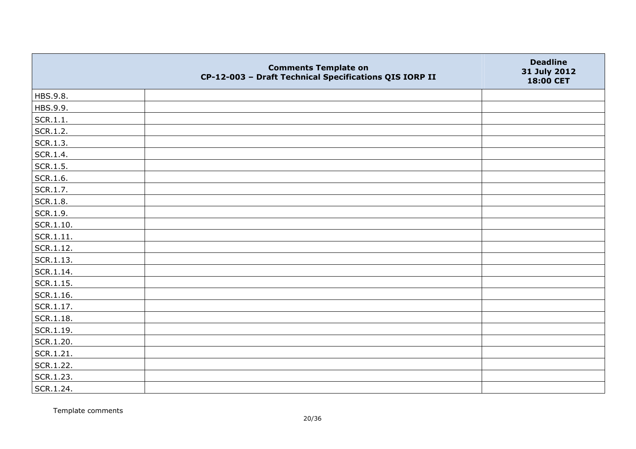|                   | <b>Comments Template on</b><br>CP-12-003 - Draft Technical Specifications QIS IORP II | <b>Deadline</b><br>31 July 2012<br>18:00 CET |
|-------------------|---------------------------------------------------------------------------------------|----------------------------------------------|
| HBS.9.8.          |                                                                                       |                                              |
| HBS.9.9.          |                                                                                       |                                              |
| SCR.1.1.          |                                                                                       |                                              |
| SCR.1.2.          |                                                                                       |                                              |
| SCR.1.3.          |                                                                                       |                                              |
| SCR.1.4.          |                                                                                       |                                              |
| SCR.1.5.          |                                                                                       |                                              |
| SCR.1.6.          |                                                                                       |                                              |
| SCR.1.7.          |                                                                                       |                                              |
| SCR.1.8.          |                                                                                       |                                              |
| SCR.1.9.          |                                                                                       |                                              |
| $ $ SCR.1.10.     |                                                                                       |                                              |
| SCR.1.11.         |                                                                                       |                                              |
| SCR.1.12.         |                                                                                       |                                              |
| SCR.1.13.         |                                                                                       |                                              |
| SCR.1.14.         |                                                                                       |                                              |
| $ $ SCR.1.15.     |                                                                                       |                                              |
| $\vert$ SCR.1.16. |                                                                                       |                                              |
| SCR.1.17.         |                                                                                       |                                              |
| SCR.1.18.         |                                                                                       |                                              |
| SCR.1.19.         |                                                                                       |                                              |
| SCR.1.20.         |                                                                                       |                                              |
| SCR.1.21.         |                                                                                       |                                              |
| SCR.1.22.         |                                                                                       |                                              |
| SCR.1.23.         |                                                                                       |                                              |
| SCR.1.24.         |                                                                                       |                                              |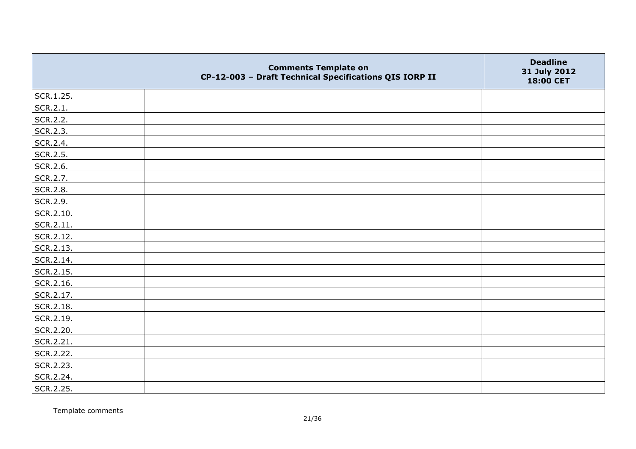|           | <b>Comments Template on</b><br>CP-12-003 - Draft Technical Specifications QIS IORP II | <b>Deadline</b><br>31 July 2012<br>18:00 CET |
|-----------|---------------------------------------------------------------------------------------|----------------------------------------------|
| SCR.1.25. |                                                                                       |                                              |
| SCR.2.1.  |                                                                                       |                                              |
| SCR.2.2.  |                                                                                       |                                              |
| SCR.2.3.  |                                                                                       |                                              |
| SCR.2.4.  |                                                                                       |                                              |
| SCR.2.5.  |                                                                                       |                                              |
| SCR.2.6.  |                                                                                       |                                              |
| SCR.2.7.  |                                                                                       |                                              |
| SCR.2.8.  |                                                                                       |                                              |
| SCR.2.9.  |                                                                                       |                                              |
| SCR.2.10. |                                                                                       |                                              |
| SCR.2.11. |                                                                                       |                                              |
| SCR.2.12. |                                                                                       |                                              |
| SCR.2.13. |                                                                                       |                                              |
| SCR.2.14. |                                                                                       |                                              |
| SCR.2.15. |                                                                                       |                                              |
| SCR.2.16. |                                                                                       |                                              |
| SCR.2.17. |                                                                                       |                                              |
| SCR.2.18. |                                                                                       |                                              |
| SCR.2.19. |                                                                                       |                                              |
| SCR.2.20. |                                                                                       |                                              |
| SCR.2.21. |                                                                                       |                                              |
| SCR.2.22. |                                                                                       |                                              |
| SCR.2.23. |                                                                                       |                                              |
| SCR.2.24. |                                                                                       |                                              |
| SCR.2.25. |                                                                                       |                                              |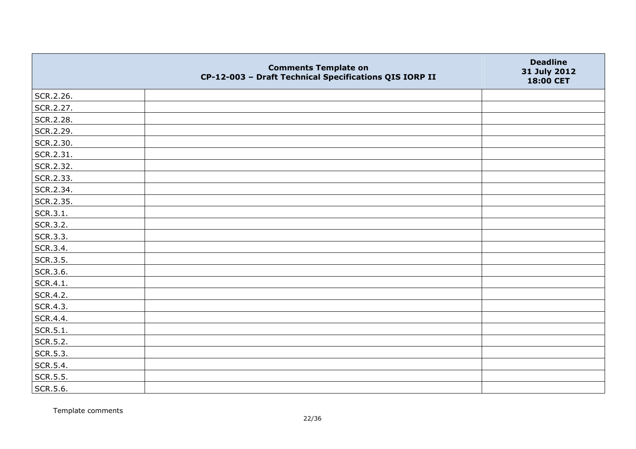|           | <b>Comments Template on</b><br>CP-12-003 - Draft Technical Specifications QIS IORP II | <b>Deadline</b><br>31 July 2012<br>18:00 CET |
|-----------|---------------------------------------------------------------------------------------|----------------------------------------------|
| SCR.2.26. |                                                                                       |                                              |
| SCR.2.27. |                                                                                       |                                              |
| SCR.2.28. |                                                                                       |                                              |
| SCR.2.29. |                                                                                       |                                              |
| SCR.2.30. |                                                                                       |                                              |
| SCR.2.31. |                                                                                       |                                              |
| SCR.2.32. |                                                                                       |                                              |
| SCR.2.33. |                                                                                       |                                              |
| SCR.2.34. |                                                                                       |                                              |
| SCR.2.35. |                                                                                       |                                              |
| SCR.3.1.  |                                                                                       |                                              |
| SCR.3.2.  |                                                                                       |                                              |
| SCR.3.3.  |                                                                                       |                                              |
| SCR.3.4.  |                                                                                       |                                              |
| SCR.3.5.  |                                                                                       |                                              |
| SCR.3.6.  |                                                                                       |                                              |
| SCR.4.1.  |                                                                                       |                                              |
| SCR.4.2.  |                                                                                       |                                              |
| SCR.4.3.  |                                                                                       |                                              |
| SCR.4.4.  |                                                                                       |                                              |
| SCR.5.1.  |                                                                                       |                                              |
| SCR.5.2.  |                                                                                       |                                              |
| SCR.5.3.  |                                                                                       |                                              |
| SCR.5.4.  |                                                                                       |                                              |
| SCR.5.5.  |                                                                                       |                                              |
| SCR.5.6.  |                                                                                       |                                              |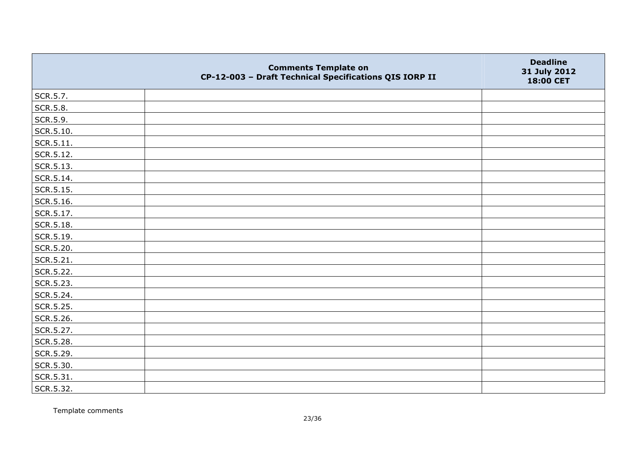|           | <b>Comments Template on</b><br>CP-12-003 - Draft Technical Specifications QIS IORP II | <b>Deadline</b><br>31 July 2012<br>18:00 CET |
|-----------|---------------------------------------------------------------------------------------|----------------------------------------------|
| SCR.5.7.  |                                                                                       |                                              |
| SCR.5.8.  |                                                                                       |                                              |
| SCR.5.9.  |                                                                                       |                                              |
| SCR.5.10. |                                                                                       |                                              |
| SCR.5.11. |                                                                                       |                                              |
| SCR.5.12. |                                                                                       |                                              |
| SCR.5.13. |                                                                                       |                                              |
| SCR.5.14. |                                                                                       |                                              |
| SCR.5.15. |                                                                                       |                                              |
| SCR.5.16. |                                                                                       |                                              |
| SCR.5.17. |                                                                                       |                                              |
| SCR.5.18. |                                                                                       |                                              |
| SCR.5.19. |                                                                                       |                                              |
| SCR.5.20. |                                                                                       |                                              |
| SCR.5.21. |                                                                                       |                                              |
| SCR.5.22. |                                                                                       |                                              |
| SCR.5.23. |                                                                                       |                                              |
| SCR.5.24. |                                                                                       |                                              |
| SCR.5.25. |                                                                                       |                                              |
| SCR.5.26. |                                                                                       |                                              |
| SCR.5.27. |                                                                                       |                                              |
| SCR.5.28. |                                                                                       |                                              |
| SCR.5.29. |                                                                                       |                                              |
| SCR.5.30. |                                                                                       |                                              |
| SCR.5.31. |                                                                                       |                                              |
| SCR.5.32. |                                                                                       |                                              |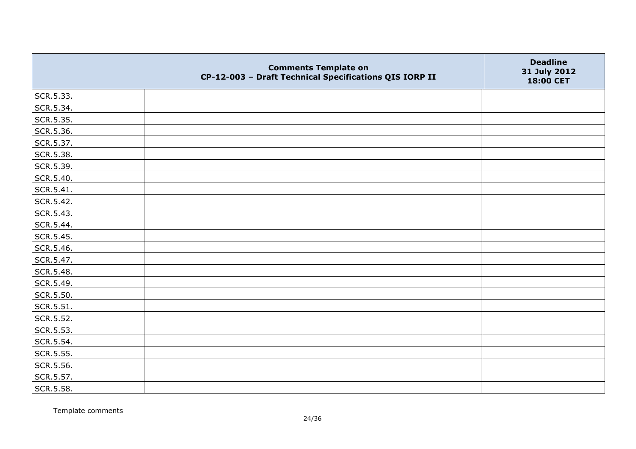|           | <b>Comments Template on</b><br>CP-12-003 - Draft Technical Specifications QIS IORP II | <b>Deadline</b><br>31 July 2012<br>18:00 CET |
|-----------|---------------------------------------------------------------------------------------|----------------------------------------------|
| SCR.5.33. |                                                                                       |                                              |
| SCR.5.34. |                                                                                       |                                              |
| SCR.5.35. |                                                                                       |                                              |
| SCR.5.36. |                                                                                       |                                              |
| SCR.5.37. |                                                                                       |                                              |
| SCR.5.38. |                                                                                       |                                              |
| SCR.5.39. |                                                                                       |                                              |
| SCR.5.40. |                                                                                       |                                              |
| SCR.5.41. |                                                                                       |                                              |
| SCR.5.42. |                                                                                       |                                              |
| SCR.5.43. |                                                                                       |                                              |
| SCR.5.44. |                                                                                       |                                              |
| SCR.5.45. |                                                                                       |                                              |
| SCR.5.46. |                                                                                       |                                              |
| SCR.5.47. |                                                                                       |                                              |
| SCR.5.48. |                                                                                       |                                              |
| SCR.5.49. |                                                                                       |                                              |
| SCR.5.50. |                                                                                       |                                              |
| SCR.5.51. |                                                                                       |                                              |
| SCR.5.52. |                                                                                       |                                              |
| SCR.5.53. |                                                                                       |                                              |
| SCR.5.54. |                                                                                       |                                              |
| SCR.5.55. |                                                                                       |                                              |
| SCR.5.56. |                                                                                       |                                              |
| SCR.5.57. |                                                                                       |                                              |
| SCR.5.58. |                                                                                       |                                              |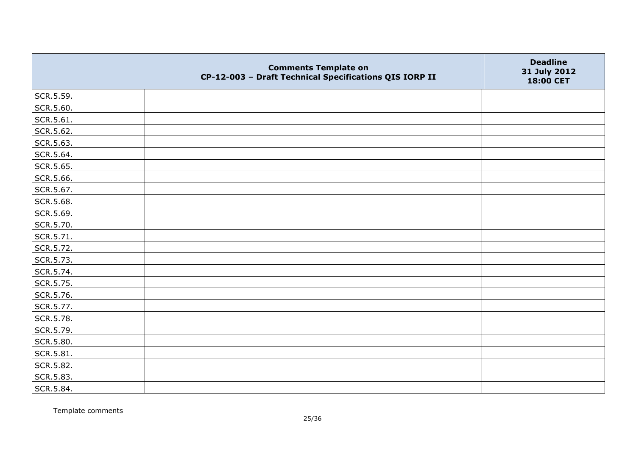|           | <b>Comments Template on</b><br>CP-12-003 - Draft Technical Specifications QIS IORP II | <b>Deadline</b><br>31 July 2012<br>18:00 CET |
|-----------|---------------------------------------------------------------------------------------|----------------------------------------------|
| SCR.5.59. |                                                                                       |                                              |
| SCR.5.60. |                                                                                       |                                              |
| SCR.5.61. |                                                                                       |                                              |
| SCR.5.62. |                                                                                       |                                              |
| SCR.5.63. |                                                                                       |                                              |
| SCR.5.64. |                                                                                       |                                              |
| SCR.5.65. |                                                                                       |                                              |
| SCR.5.66. |                                                                                       |                                              |
| SCR.5.67. |                                                                                       |                                              |
| SCR.5.68. |                                                                                       |                                              |
| SCR.5.69. |                                                                                       |                                              |
| SCR.5.70. |                                                                                       |                                              |
| SCR.5.71. |                                                                                       |                                              |
| SCR.5.72. |                                                                                       |                                              |
| SCR.5.73. |                                                                                       |                                              |
| SCR.5.74. |                                                                                       |                                              |
| SCR.5.75. |                                                                                       |                                              |
| SCR.5.76. |                                                                                       |                                              |
| SCR.5.77. |                                                                                       |                                              |
| SCR.5.78. |                                                                                       |                                              |
| SCR.5.79. |                                                                                       |                                              |
| SCR.5.80. |                                                                                       |                                              |
| SCR.5.81. |                                                                                       |                                              |
| SCR.5.82. |                                                                                       |                                              |
| SCR.5.83. |                                                                                       |                                              |
| SCR.5.84. |                                                                                       |                                              |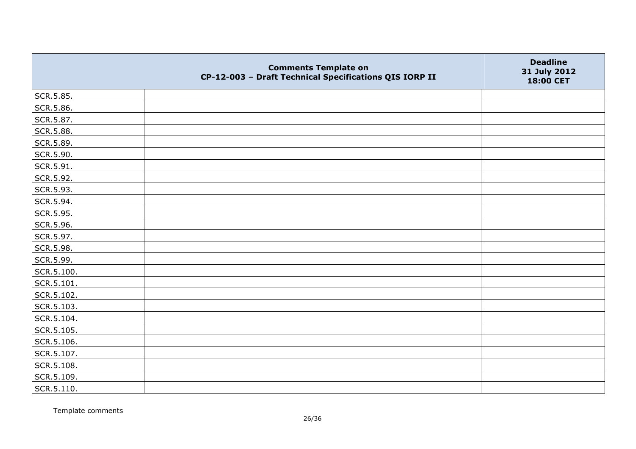|            | <b>Comments Template on</b><br>CP-12-003 - Draft Technical Specifications QIS IORP II | <b>Deadline</b><br>31 July 2012<br>18:00 CET |
|------------|---------------------------------------------------------------------------------------|----------------------------------------------|
| SCR.5.85.  |                                                                                       |                                              |
| SCR.5.86.  |                                                                                       |                                              |
| SCR.5.87.  |                                                                                       |                                              |
| SCR.5.88.  |                                                                                       |                                              |
| SCR.5.89.  |                                                                                       |                                              |
| SCR.5.90.  |                                                                                       |                                              |
| SCR.5.91.  |                                                                                       |                                              |
| SCR.5.92.  |                                                                                       |                                              |
| SCR.5.93.  |                                                                                       |                                              |
| SCR.5.94.  |                                                                                       |                                              |
| SCR.5.95.  |                                                                                       |                                              |
| SCR.5.96.  |                                                                                       |                                              |
| SCR.5.97.  |                                                                                       |                                              |
| SCR.5.98.  |                                                                                       |                                              |
| SCR.5.99.  |                                                                                       |                                              |
| SCR.5.100. |                                                                                       |                                              |
| SCR.5.101. |                                                                                       |                                              |
| SCR.5.102. |                                                                                       |                                              |
| SCR.5.103. |                                                                                       |                                              |
| SCR.5.104. |                                                                                       |                                              |
| SCR.5.105. |                                                                                       |                                              |
| SCR.5.106. |                                                                                       |                                              |
| SCR.5.107. |                                                                                       |                                              |
| SCR.5.108. |                                                                                       |                                              |
| SCR.5.109. |                                                                                       |                                              |
| SCR.5.110. |                                                                                       |                                              |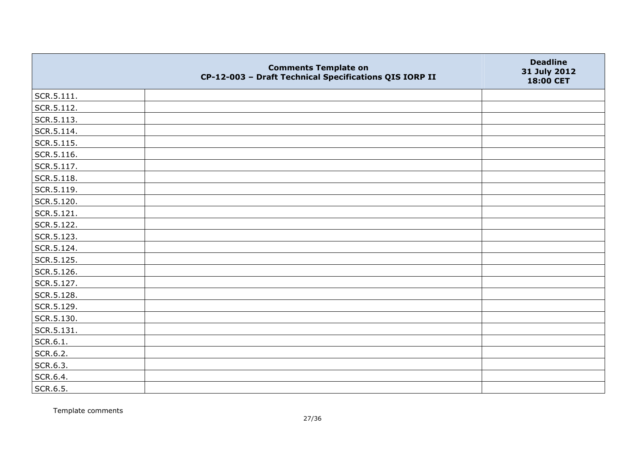|                | <b>Comments Template on</b><br>CP-12-003 - Draft Technical Specifications QIS IORP II | <b>Deadline</b><br>31 July 2012<br>18:00 CET |
|----------------|---------------------------------------------------------------------------------------|----------------------------------------------|
| $ $ SCR.5.111. |                                                                                       |                                              |
| SCR.5.112.     |                                                                                       |                                              |
| SCR.5.113.     |                                                                                       |                                              |
| SCR.5.114.     |                                                                                       |                                              |
| SCR.5.115.     |                                                                                       |                                              |
| SCR.5.116.     |                                                                                       |                                              |
| SCR.5.117.     |                                                                                       |                                              |
| SCR.5.118.     |                                                                                       |                                              |
| SCR.5.119.     |                                                                                       |                                              |
| SCR.5.120.     |                                                                                       |                                              |
| SCR.5.121.     |                                                                                       |                                              |
| SCR.5.122.     |                                                                                       |                                              |
| SCR.5.123.     |                                                                                       |                                              |
| SCR.5.124.     |                                                                                       |                                              |
| SCR.5.125.     |                                                                                       |                                              |
| SCR.5.126.     |                                                                                       |                                              |
| SCR.5.127.     |                                                                                       |                                              |
| SCR.5.128.     |                                                                                       |                                              |
| SCR.5.129.     |                                                                                       |                                              |
| SCR.5.130.     |                                                                                       |                                              |
| SCR.5.131.     |                                                                                       |                                              |
| SCR.6.1.       |                                                                                       |                                              |
| SCR.6.2.       |                                                                                       |                                              |
| SCR.6.3.       |                                                                                       |                                              |
| SCR.6.4.       |                                                                                       |                                              |
| SCR.6.5.       |                                                                                       |                                              |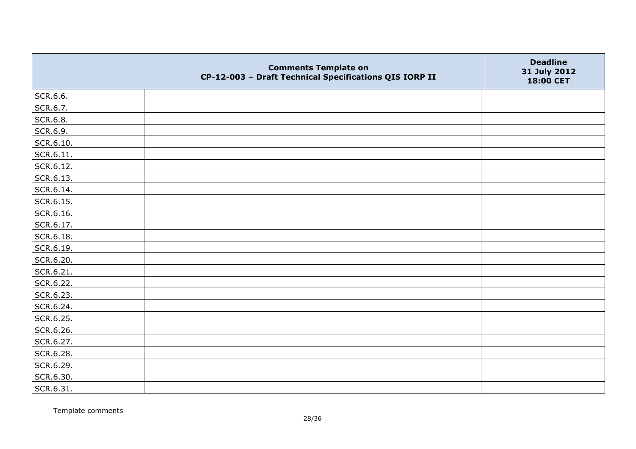|                   | <b>Comments Template on</b><br>CP-12-003 - Draft Technical Specifications QIS IORP II | <b>Deadline</b><br>31 July 2012<br>18:00 CET |
|-------------------|---------------------------------------------------------------------------------------|----------------------------------------------|
| SCR.6.6.          |                                                                                       |                                              |
| SCR.6.7.          |                                                                                       |                                              |
| SCR.6.8.          |                                                                                       |                                              |
| SCR.6.9.          |                                                                                       |                                              |
| SCR.6.10.         |                                                                                       |                                              |
| $\vert$ SCR.6.11. |                                                                                       |                                              |
| SCR.6.12.         |                                                                                       |                                              |
| SCR.6.13.         |                                                                                       |                                              |
| SCR.6.14.         |                                                                                       |                                              |
| SCR.6.15.         |                                                                                       |                                              |
| SCR.6.16.         |                                                                                       |                                              |
| SCR.6.17.         |                                                                                       |                                              |
| SCR.6.18.         |                                                                                       |                                              |
| SCR.6.19.         |                                                                                       |                                              |
| SCR.6.20.         |                                                                                       |                                              |
| SCR.6.21.         |                                                                                       |                                              |
| SCR.6.22.         |                                                                                       |                                              |
| SCR.6.23.         |                                                                                       |                                              |
| SCR.6.24.         |                                                                                       |                                              |
| SCR.6.25.         |                                                                                       |                                              |
| SCR.6.26.         |                                                                                       |                                              |
| SCR.6.27.         |                                                                                       |                                              |
| SCR.6.28.         |                                                                                       |                                              |
| SCR.6.29.         |                                                                                       |                                              |
| SCR.6.30.         |                                                                                       |                                              |
| SCR.6.31.         |                                                                                       |                                              |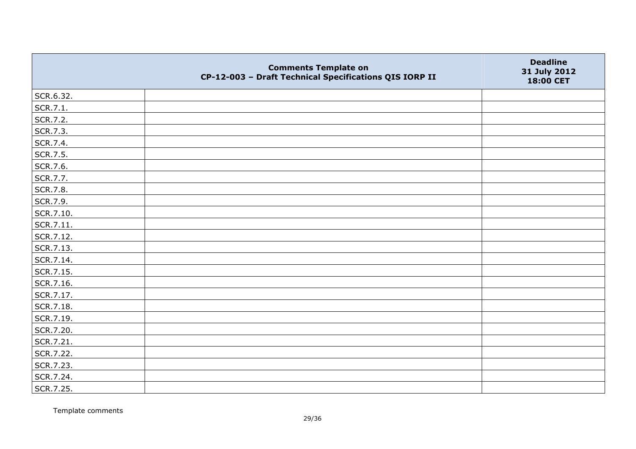|           | <b>Comments Template on</b><br>CP-12-003 - Draft Technical Specifications QIS IORP II | <b>Deadline</b><br>31 July 2012<br>18:00 CET |
|-----------|---------------------------------------------------------------------------------------|----------------------------------------------|
| SCR.6.32. |                                                                                       |                                              |
| SCR.7.1.  |                                                                                       |                                              |
| SCR.7.2.  |                                                                                       |                                              |
| SCR.7.3.  |                                                                                       |                                              |
| SCR.7.4.  |                                                                                       |                                              |
| SCR.7.5.  |                                                                                       |                                              |
| SCR.7.6.  |                                                                                       |                                              |
| SCR.7.7.  |                                                                                       |                                              |
| SCR.7.8.  |                                                                                       |                                              |
| SCR.7.9.  |                                                                                       |                                              |
| SCR.7.10. |                                                                                       |                                              |
| SCR.7.11. |                                                                                       |                                              |
| SCR.7.12. |                                                                                       |                                              |
| SCR.7.13. |                                                                                       |                                              |
| SCR.7.14. |                                                                                       |                                              |
| SCR.7.15. |                                                                                       |                                              |
| SCR.7.16. |                                                                                       |                                              |
| SCR.7.17. |                                                                                       |                                              |
| SCR.7.18. |                                                                                       |                                              |
| SCR.7.19. |                                                                                       |                                              |
| SCR.7.20. |                                                                                       |                                              |
| SCR.7.21. |                                                                                       |                                              |
| SCR.7.22. |                                                                                       |                                              |
| SCR.7.23. |                                                                                       |                                              |
| SCR.7.24. |                                                                                       |                                              |
| SCR.7.25. |                                                                                       |                                              |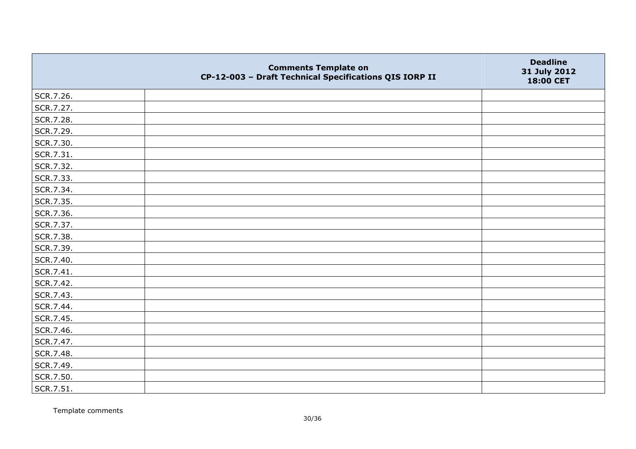|           | <b>Comments Template on</b><br>CP-12-003 - Draft Technical Specifications QIS IORP II | <b>Deadline</b><br>31 July 2012<br>18:00 CET |
|-----------|---------------------------------------------------------------------------------------|----------------------------------------------|
| SCR.7.26. |                                                                                       |                                              |
| SCR.7.27. |                                                                                       |                                              |
| SCR.7.28. |                                                                                       |                                              |
| SCR.7.29. |                                                                                       |                                              |
| SCR.7.30. |                                                                                       |                                              |
| SCR.7.31. |                                                                                       |                                              |
| SCR.7.32. |                                                                                       |                                              |
| SCR.7.33. |                                                                                       |                                              |
| SCR.7.34. |                                                                                       |                                              |
| SCR.7.35. |                                                                                       |                                              |
| SCR.7.36. |                                                                                       |                                              |
| SCR.7.37. |                                                                                       |                                              |
| SCR.7.38. |                                                                                       |                                              |
| SCR.7.39. |                                                                                       |                                              |
| SCR.7.40. |                                                                                       |                                              |
| SCR.7.41. |                                                                                       |                                              |
| SCR.7.42. |                                                                                       |                                              |
| SCR.7.43. |                                                                                       |                                              |
| SCR.7.44. |                                                                                       |                                              |
| SCR.7.45. |                                                                                       |                                              |
| SCR.7.46. |                                                                                       |                                              |
| SCR.7.47. |                                                                                       |                                              |
| SCR.7.48. |                                                                                       |                                              |
| SCR.7.49. |                                                                                       |                                              |
| SCR.7.50. |                                                                                       |                                              |
| SCR.7.51. |                                                                                       |                                              |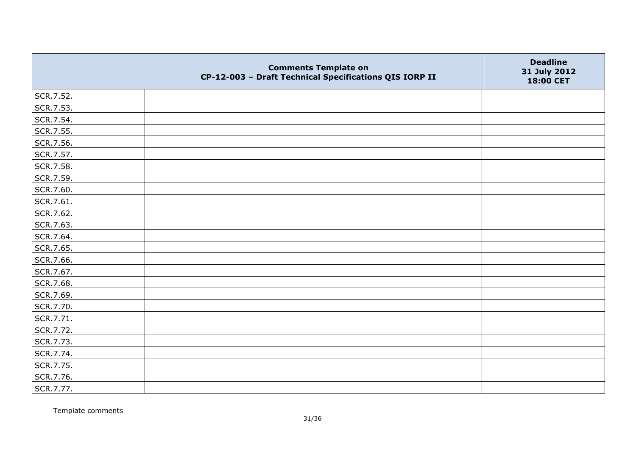|           | <b>Comments Template on</b><br>CP-12-003 - Draft Technical Specifications QIS IORP II | <b>Deadline</b><br>31 July 2012<br>18:00 CET |
|-----------|---------------------------------------------------------------------------------------|----------------------------------------------|
| SCR.7.52. |                                                                                       |                                              |
| SCR.7.53. |                                                                                       |                                              |
| SCR.7.54. |                                                                                       |                                              |
| SCR.7.55. |                                                                                       |                                              |
| SCR.7.56. |                                                                                       |                                              |
| SCR.7.57. |                                                                                       |                                              |
| SCR.7.58. |                                                                                       |                                              |
| SCR.7.59. |                                                                                       |                                              |
| SCR.7.60. |                                                                                       |                                              |
| SCR.7.61. |                                                                                       |                                              |
| SCR.7.62. |                                                                                       |                                              |
| SCR.7.63. |                                                                                       |                                              |
| SCR.7.64. |                                                                                       |                                              |
| SCR.7.65. |                                                                                       |                                              |
| SCR.7.66. |                                                                                       |                                              |
| SCR.7.67. |                                                                                       |                                              |
| SCR.7.68. |                                                                                       |                                              |
| SCR.7.69. |                                                                                       |                                              |
| SCR.7.70. |                                                                                       |                                              |
| SCR.7.71. |                                                                                       |                                              |
| SCR.7.72. |                                                                                       |                                              |
| SCR.7.73. |                                                                                       |                                              |
| SCR.7.74. |                                                                                       |                                              |
| SCR.7.75. |                                                                                       |                                              |
| SCR.7.76. |                                                                                       |                                              |
| SCR.7.77. |                                                                                       |                                              |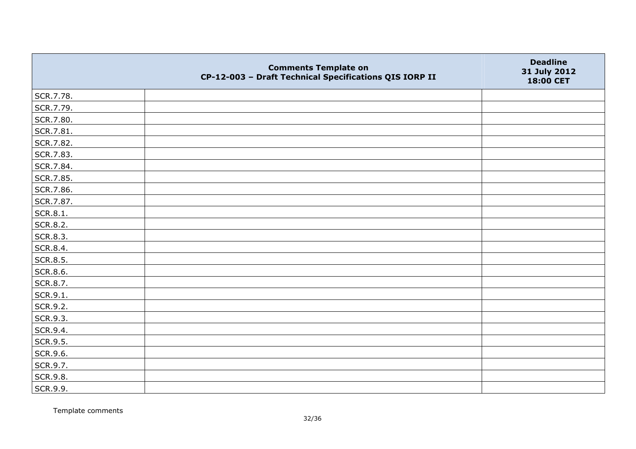|           | <b>Comments Template on</b><br>CP-12-003 - Draft Technical Specifications QIS IORP II | <b>Deadline</b><br>31 July 2012<br>18:00 CET |
|-----------|---------------------------------------------------------------------------------------|----------------------------------------------|
| SCR.7.78. |                                                                                       |                                              |
| SCR.7.79. |                                                                                       |                                              |
| SCR.7.80. |                                                                                       |                                              |
| SCR.7.81. |                                                                                       |                                              |
| SCR.7.82. |                                                                                       |                                              |
| SCR.7.83. |                                                                                       |                                              |
| SCR.7.84. |                                                                                       |                                              |
| SCR.7.85. |                                                                                       |                                              |
| SCR.7.86. |                                                                                       |                                              |
| SCR.7.87. |                                                                                       |                                              |
| SCR.8.1.  |                                                                                       |                                              |
| SCR.8.2.  |                                                                                       |                                              |
| SCR.8.3.  |                                                                                       |                                              |
| SCR.8.4.  |                                                                                       |                                              |
| SCR.8.5.  |                                                                                       |                                              |
| SCR.8.6.  |                                                                                       |                                              |
| SCR.8.7.  |                                                                                       |                                              |
| SCR.9.1.  |                                                                                       |                                              |
| SCR.9.2.  |                                                                                       |                                              |
| SCR.9.3.  |                                                                                       |                                              |
| SCR.9.4.  |                                                                                       |                                              |
| SCR.9.5.  |                                                                                       |                                              |
| SCR.9.6.  |                                                                                       |                                              |
| SCR.9.7.  |                                                                                       |                                              |
| SCR.9.8.  |                                                                                       |                                              |
| SCR.9.9.  |                                                                                       |                                              |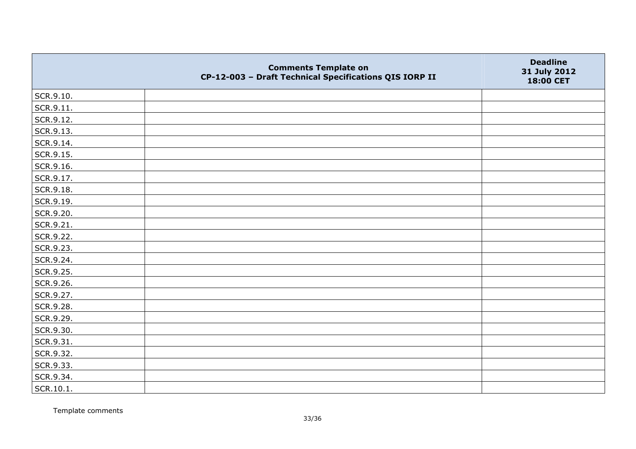|           | <b>Comments Template on</b><br>CP-12-003 - Draft Technical Specifications QIS IORP II | <b>Deadline</b><br>31 July 2012<br>18:00 CET |
|-----------|---------------------------------------------------------------------------------------|----------------------------------------------|
| SCR.9.10. |                                                                                       |                                              |
| SCR.9.11. |                                                                                       |                                              |
| SCR.9.12. |                                                                                       |                                              |
| SCR.9.13. |                                                                                       |                                              |
| SCR.9.14. |                                                                                       |                                              |
| SCR.9.15. |                                                                                       |                                              |
| SCR.9.16. |                                                                                       |                                              |
| SCR.9.17. |                                                                                       |                                              |
| SCR.9.18. |                                                                                       |                                              |
| SCR.9.19. |                                                                                       |                                              |
| SCR.9.20. |                                                                                       |                                              |
| SCR.9.21. |                                                                                       |                                              |
| SCR.9.22. |                                                                                       |                                              |
| SCR.9.23. |                                                                                       |                                              |
| SCR.9.24. |                                                                                       |                                              |
| SCR.9.25. |                                                                                       |                                              |
| SCR.9.26. |                                                                                       |                                              |
| SCR.9.27. |                                                                                       |                                              |
| SCR.9.28. |                                                                                       |                                              |
| SCR.9.29. |                                                                                       |                                              |
| SCR.9.30. |                                                                                       |                                              |
| SCR.9.31. |                                                                                       |                                              |
| SCR.9.32. |                                                                                       |                                              |
| SCR.9.33. |                                                                                       |                                              |
| SCR.9.34. |                                                                                       |                                              |
| SCR.10.1. |                                                                                       |                                              |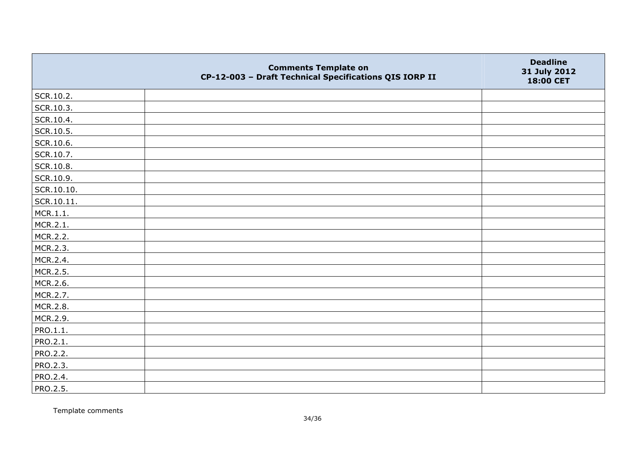|                 | <b>Comments Template on</b><br>CP-12-003 - Draft Technical Specifications QIS IORP II | <b>Deadline</b><br>31 July 2012<br>18:00 CET |
|-----------------|---------------------------------------------------------------------------------------|----------------------------------------------|
| SCR.10.2.       |                                                                                       |                                              |
| SCR.10.3.       |                                                                                       |                                              |
| SCR.10.4.       |                                                                                       |                                              |
| SCR.10.5.       |                                                                                       |                                              |
| SCR.10.6.       |                                                                                       |                                              |
| SCR.10.7.       |                                                                                       |                                              |
| SCR.10.8.       |                                                                                       |                                              |
| SCR.10.9.       |                                                                                       |                                              |
| SCR.10.10.      |                                                                                       |                                              |
| SCR.10.11.      |                                                                                       |                                              |
| MCR.1.1.        |                                                                                       |                                              |
| MCR.2.1.        |                                                                                       |                                              |
| MCR.2.2.        |                                                                                       |                                              |
| MCR.2.3.        |                                                                                       |                                              |
| MCR.2.4.        |                                                                                       |                                              |
| MCR.2.5.        |                                                                                       |                                              |
| MCR.2.6.        |                                                                                       |                                              |
| MCR.2.7.        |                                                                                       |                                              |
| MCR.2.8.        |                                                                                       |                                              |
| MCR.2.9.        |                                                                                       |                                              |
| PRO.1.1.        |                                                                                       |                                              |
| PRO.2.1.        |                                                                                       |                                              |
| PRO.2.2.        |                                                                                       |                                              |
| PRO.2.3.        |                                                                                       |                                              |
| PRO.2.4.        |                                                                                       |                                              |
| <b>PRO.2.5.</b> |                                                                                       |                                              |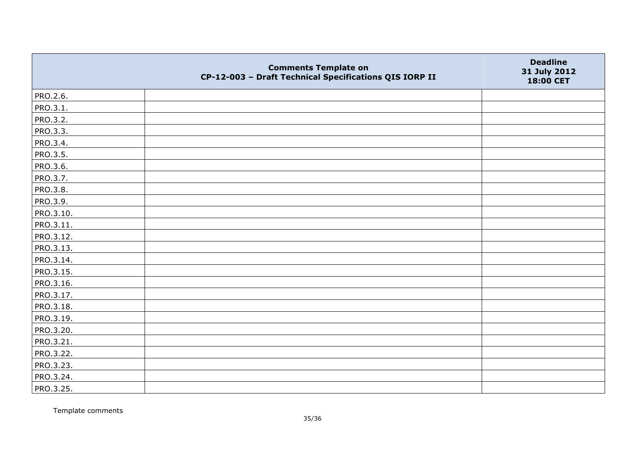|           | <b>Comments Template on</b><br>CP-12-003 - Draft Technical Specifications QIS IORP II | <b>Deadline</b><br>31 July 2012<br>18:00 CET |
|-----------|---------------------------------------------------------------------------------------|----------------------------------------------|
| PRO.2.6.  |                                                                                       |                                              |
| PRO.3.1.  |                                                                                       |                                              |
| PRO.3.2.  |                                                                                       |                                              |
| PRO.3.3.  |                                                                                       |                                              |
| PRO.3.4.  |                                                                                       |                                              |
| PRO.3.5.  |                                                                                       |                                              |
| PRO.3.6.  |                                                                                       |                                              |
| PRO.3.7.  |                                                                                       |                                              |
| PRO.3.8.  |                                                                                       |                                              |
| PRO.3.9.  |                                                                                       |                                              |
| PRO.3.10. |                                                                                       |                                              |
| PRO.3.11. |                                                                                       |                                              |
| PRO.3.12. |                                                                                       |                                              |
| PRO.3.13. |                                                                                       |                                              |
| PRO.3.14. |                                                                                       |                                              |
| PRO.3.15. |                                                                                       |                                              |
| PRO.3.16. |                                                                                       |                                              |
| PRO.3.17. |                                                                                       |                                              |
| PRO.3.18. |                                                                                       |                                              |
| PRO.3.19. |                                                                                       |                                              |
| PRO.3.20. |                                                                                       |                                              |
| PRO.3.21. |                                                                                       |                                              |
| PRO.3.22. |                                                                                       |                                              |
| PRO.3.23. |                                                                                       |                                              |
| PRO.3.24. |                                                                                       |                                              |
| PRO.3.25. |                                                                                       |                                              |